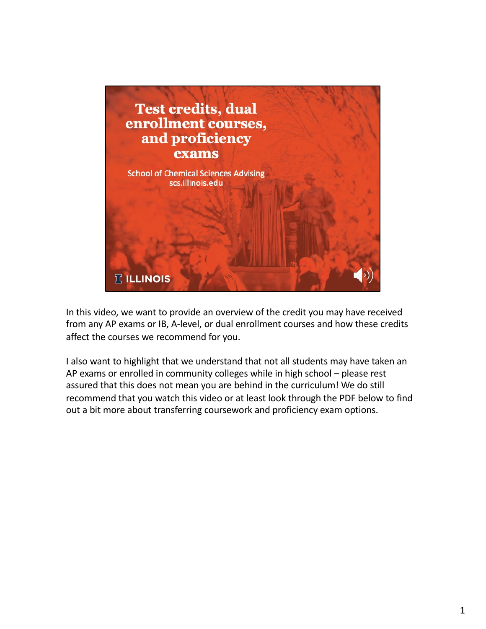

In this video, we want to provide an overview of the credit you may have received from any AP exams or IB, A-level, or dual enrollment courses and how these credits affect the courses we recommend for you.

I also want to highlight that we understand that not all students may have taken an AP exams or enrolled in community colleges while in high school – please rest assured that this does not mean you are behind in the curriculum! We do still recommend that you watch this video or at least look through the PDF below to find out a bit more about transferring coursework and proficiency exam options.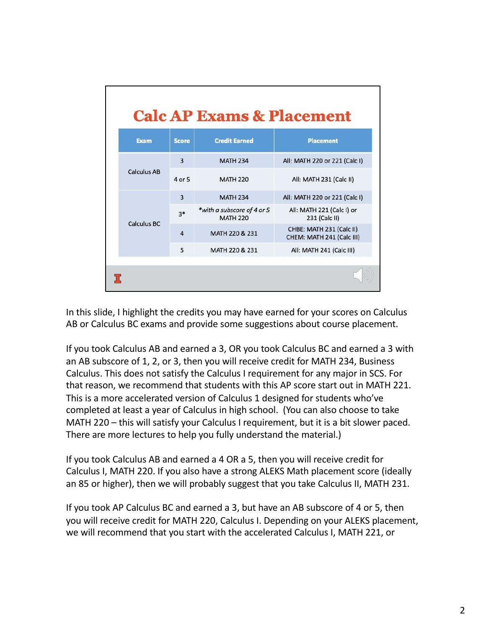| <b>Calc AP Exams &amp; Placement</b> |                |                                               |                                                       |  |  |
|--------------------------------------|----------------|-----------------------------------------------|-------------------------------------------------------|--|--|
| <b>Exam</b>                          | <b>Score</b>   | <b>Credit Earned</b>                          | <b>Placement</b>                                      |  |  |
| <b>Calculus AB</b>                   | $\overline{3}$ | <b>MATH 234</b>                               | All: MATH 220 or 221 (Calc I)                         |  |  |
|                                      | 4 or 5         | <b>MATH 220</b>                               | All: MATH 231 (Calc II)                               |  |  |
| Calculus BC                          | $\overline{3}$ | <b>MATH 234</b>                               | All: MATH 220 or 221 (Calc I)                         |  |  |
|                                      | $3*$           | *with a subscore of 4 or 5<br><b>MATH 220</b> | All: MATH 221 (Calc I) or<br>231 (Calc II)            |  |  |
|                                      | $\overline{a}$ | MATH 220 & 231                                | CHBE: MATH 231 (Calc II)<br>CHEM: MATH 241 (Calc III) |  |  |
|                                      | 5              | MATH 220 & 231                                | All: MATH 241 (Calc III)                              |  |  |
|                                      |                |                                               |                                                       |  |  |

In this slide, I highlight the credits you may have earned for your scores on Calculus AB or Calculus BC exams and provide some suggestions about course placement.

If you took Calculus AB and earned a 3, OR you took Calculus BC and earned a 3 with an AB subscore of 1, 2, or 3, then you will receive credit for MATH 234, Business Calculus. This does not satisfy the Calculus I requirement for any major in SCS. For that reason, we recommend that students with this AP score start out in MATH 221. This is a more accelerated version of Calculus 1 designed for students who've completed at least a year of Calculus in high school. (You can also choose to take MATH 220 – this will satisfy your Calculus I requirement, but it is a bit slower paced. There are more lectures to help you fully understand the material.)

If you took Calculus AB and earned a 4 OR a 5, then you will receive credit for Calculus I, MATH 220. If you also have a strong ALEKS Math placement score (ideally an 85 or higher), then we will probably suggest that you take Calculus II, MATH 231.

If you took AP Calculus BC and earned a 3, but have an AB subscore of 4 or 5, then you will receive credit for MATH 220, Calculus I. Depending on your ALEKS placement, we will recommend that you start with the accelerated Calculus I, MATH 221, or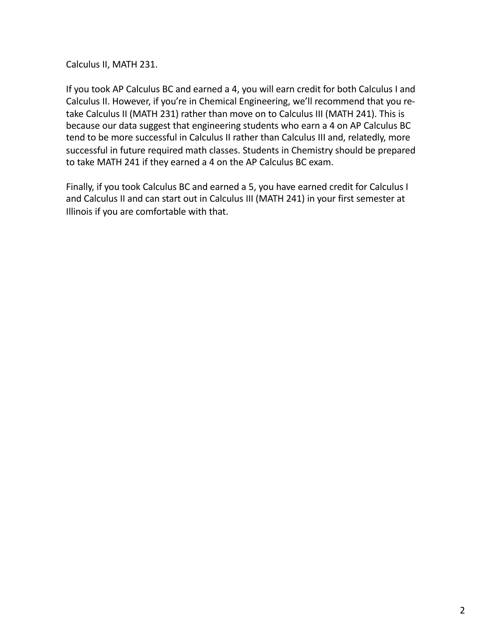Calculus II, MATH 231.

If you took AP Calculus BC and earned a 4, you will earn credit for both Calculus I and Calculus II. However, if you're in Chemical Engineering, we'll recommend that you retake Calculus II (MATH 231) rather than move on to Calculus III (MATH 241). This is because our data suggest that engineering students who earn a 4 on AP Calculus BC tend to be more successful in Calculus II rather than Calculus III and, relatedly, more successful in future required math classes. Students in Chemistry should be prepared to take MATH 241 if they earned a 4 on the AP Calculus BC exam.

Finally, if you took Calculus BC and earned a 5, you have earned credit for Calculus I and Calculus II and can start out in Calculus III (MATH 241) in your first semester at Illinois if you are comfortable with that.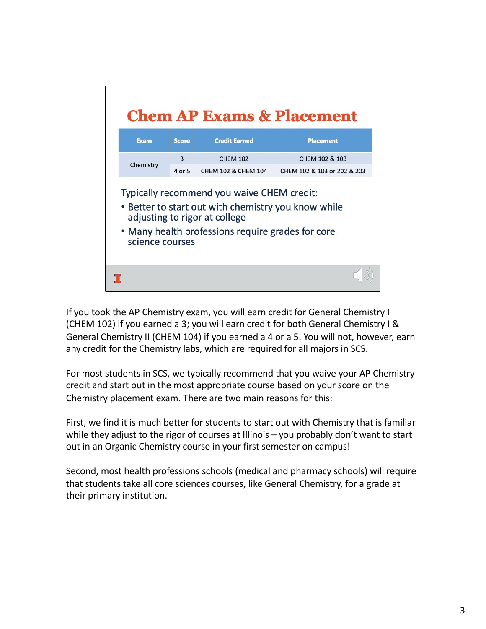

If you took the AP Chemistry exam, you will earn credit for General Chemistry I (CHEM 102) if you earned a 3; you will earn credit for both General Chemistry I & General Chemistry II (CHEM 104) if you earned a 4 or a 5. You will not, however, earn any credit for the Chemistry labs, which are required for all majors in SCS.

For most students in SCS, we typically recommend that you waive your AP Chemistry credit and start out in the most appropriate course based on your score on the Chemistry placement exam. There are two main reasons for this:

First, we find it is much better for students to start out with Chemistry that is familiar while they adjust to the rigor of courses at Illinois - you probably don't want to start out in an Organic Chemistry course in your first semester on campus!

Second, most health professions schools (medical and pharmacy schools) will require that students take all core sciences courses, like General Chemistry, for a grade at their primary institution.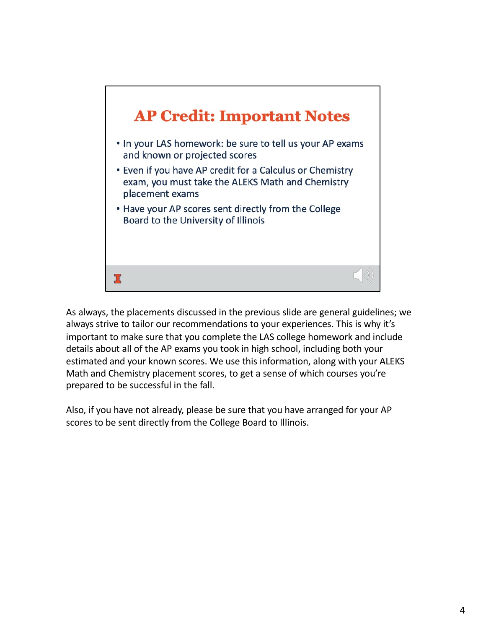

As always, the placements discussed in the previous slide are general guidelines; we always strive to tailor our recommendations to your experiences. This is why it's important to make sure that you complete the LAS college homework and include details about all of the AP exams you took in high school, including both your estimated and your known scores. We use this information, along with your ALEKS Math and Chemistry placement scores, to get a sense of which courses you're prepared to be successful in the fall.

Also, if you have not already, please be sure that you have arranged for your AP scores to be sent directly from the College Board to Illinois.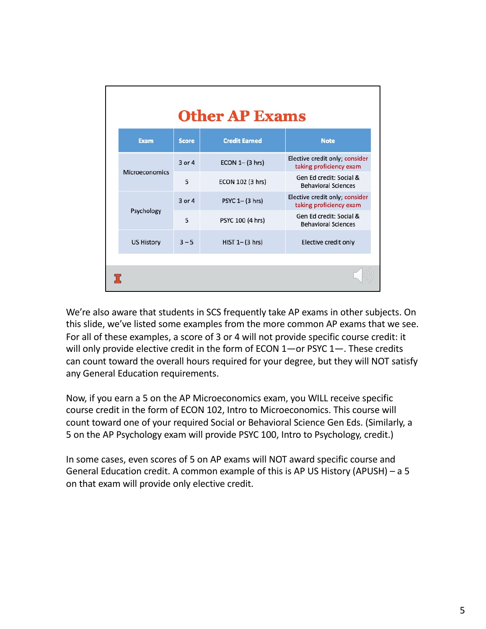| <b>Other AP Exams</b> |              |                      |                                                           |  |
|-----------------------|--------------|----------------------|-----------------------------------------------------------|--|
| <b>Exam</b>           | <b>Score</b> | <b>Credit Earned</b> | <b>Note</b>                                               |  |
| Microeconomics        | $3$ or $4$   | $ECON 1 - (3 hrs)$   | Elective credit only; consider<br>taking proficiency exam |  |
|                       | 5            | ECON 102 (3 hrs)     | Gen Ed credit: Social &<br><b>Behavioral Sciences</b>     |  |
| Psychology            | 3 or 4       | PSYC 1- (3 hrs)      | Elective credit only; consider<br>taking proficiency exam |  |
|                       | 5            | PSYC 100 (4 hrs)     | Gen Ed credit: Social &<br><b>Behavioral Sciences</b>     |  |
| <b>US History</b>     | $3 - 5$      | $HIST 1 - (3 hrs)$   | Elective credit only                                      |  |
|                       |              |                      |                                                           |  |

We're also aware that students in SCS frequently take AP exams in other subjects. On this slide, we've listed some examples from the more common AP exams that we see. For all of these examples, a score of 3 or 4 will not provide specific course credit: it will only provide elective credit in the form of ECON 1-or PSYC 1-. These credits can count toward the overall hours required for your degree, but they will NOT satisfy any General Education requirements.

Now, if you earn a 5 on the AP Microeconomics exam, you WILL receive specific course credit in the form of ECON 102, Intro to Microeconomics. This course will count toward one of your required Social or Behavioral Science Gen Eds. (Similarly, a 5 on the AP Psychology exam will provide PSYC 100, Intro to Psychology, credit.)

In some cases, even scores of 5 on AP exams will NOT award specific course and General Education credit. A common example of this is AP US History (APUSH) – a 5 on that exam will provide only elective credit.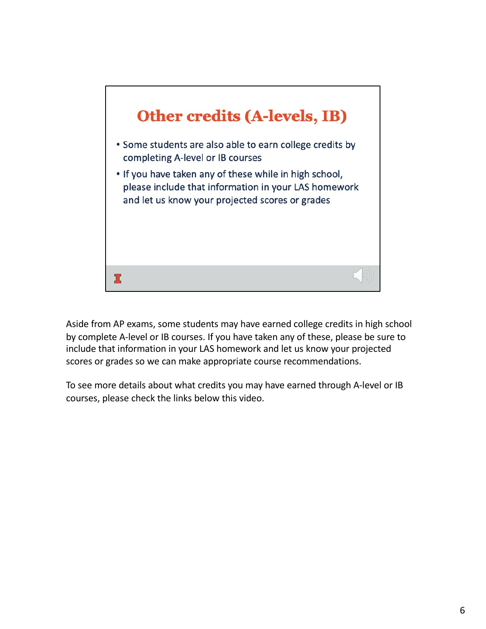

Aside from AP exams, some students may have earned college credits in high school by complete A-level or IB courses. If you have taken any of these, please be sure to include that information in your LAS homework and let us know your projected scores or grades so we can make appropriate course recommendations.

To see more details about what credits you may have earned through A-level or IB courses, please check the links below this video.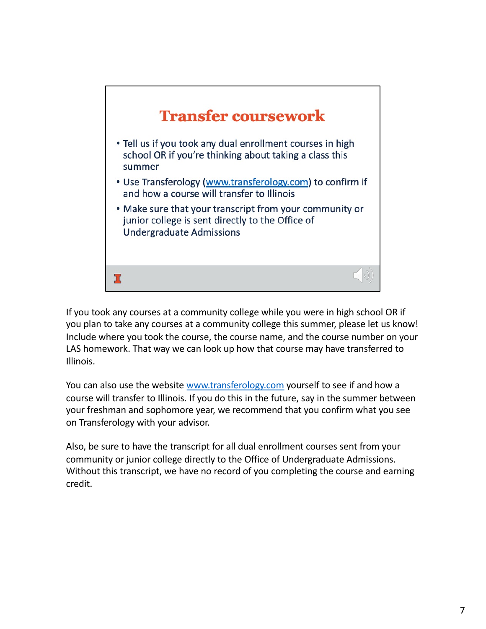

If you took any courses at a community college while you were in high school OR if you plan to take any courses at a community college this summer, please let us know! Include where you took the course, the course name, and the course number on your LAS homework. That way we can look up how that course may have transferred to Illinois.

You can also use the web[site www.transferology.c](http://www.transferology.com/)om yourself to see if and how a course will transfer to Illinois. If you do this in the future, say in the summer between your freshman and sophomore year, we recommend that you confirm what you see on Transferology with your advisor.

Also, be sure to have the transcript for all dual enrollment courses sent from your community or junior college directly to the Office of Undergraduate Admissions. Without this transcript, we have no record of you completing the course and earning credit.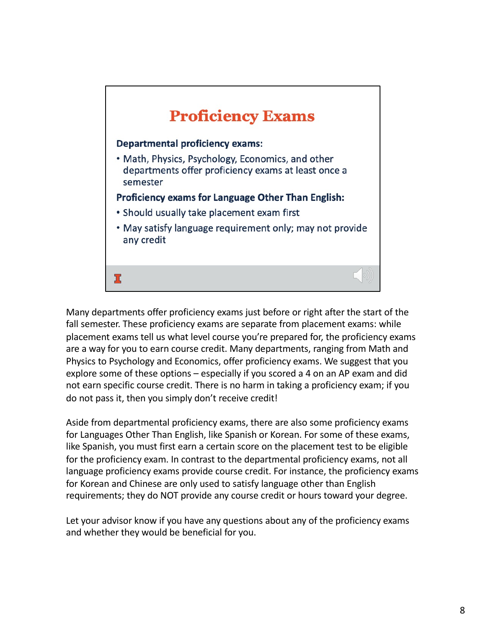

Many departments offer proficiency exams just before or right after the start of the fall semester. These proficiency exams are separate from placement exams: while placement exams tell us what level course you're prepared for, the proficiency exams are a way for you to earn course credit. Many departments, ranging from Math and Physics to Psychology and Economics, offer proficiency exams. We suggest that you explore some of these options – especially if you scored a 4 on an AP exam and did not earn specific course credit. There is no harm in taking a proficiency exam; if you do not pass it, then you simply don't receive credit!

Aside from departmental proficiency exams, there are also some proficiency exams for Languages Other Than English, like Spanish or Korean. For some of these exams, like Spanish, you must first earn a certain score on the placement test to be eligible for the proficiency exam. In contrast to the departmental proficiency exams, not all language proficiency exams provide course credit. For instance, the proficiency exams for Korean and Chinese are only used to satisfy language other than English requirements; they do NOT provide any course credit or hours toward your degree.

Let your advisor know if you have any questions about any of the proficiency exams and whether they would be beneficial for you.